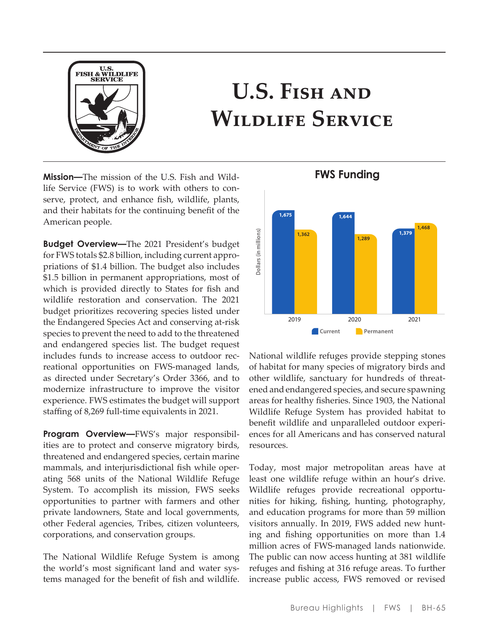

# **U.S. Fish and Wildlife Service**

**Mission—**The mission of the U.S. Fish and Wildlife Service (FWS) is to work with others to conserve, protect, and enhance fish, wildlife, plants, and their habitats for the continuing benefit of the American people.

**Budget Overview—**The 2021 President's budget for FWS totals \$2.8 billion, including current appropriations of \$1.4 billion. The budget also includes \$1.5 billion in permanent appropriations, most of which is provided directly to States for fish and wildlife restoration and conservation. The 2021 budget prioritizes recovering species listed under the Endangered Species Act and conserving at-risk species to prevent the need to add to the threatened and endangered species list. The budget request includes funds to increase access to outdoor recreational opportunities on FWS-managed lands, as directed under Secretary's Order 3366, and to modernize infrastructure to improve the visitor experience. FWS estimates the budget will support staffing of 8,269 full-time equivalents in 2021.

**Program Overview—**FWS's major responsibilities are to protect and conserve migratory birds, threatened and endangered species, certain marine mammals, and interjurisdictional fish while operating 568 units of the National Wildlife Refuge System. To accomplish its mission, FWS seeks opportunities to partner with farmers and other private landowners, State and local governments, other Federal agencies, Tribes, citizen volunteers, corporations, and conservation groups.

The National Wildlife Refuge System is among the world's most significant land and water systems managed for the benefit of fish and wildlife.



National wildlife refuges provide stepping stones of habitat for many species of migratory birds and other wildlife, sanctuary for hundreds of threatened and endangered species, and secure spawning areas for healthy fisheries. Since 1903, the National Wildlife Refuge System has provided habitat to benefit wildlife and unparalleled outdoor experiences for all Americans and has conserved natural resources.

Today, most major metropolitan areas have at least one wildlife refuge within an hour's drive. Wildlife refuges provide recreational opportunities for hiking, fishing, hunting, photography, and education programs for more than 59 million visitors annually. In 2019, FWS added new hunting and fishing opportunities on more than 1.4 million acres of FWS-managed lands nationwide. The public can now access hunting at 381 wildlife refuges and fishing at 316 refuge areas. To further increase public access, FWS removed or revised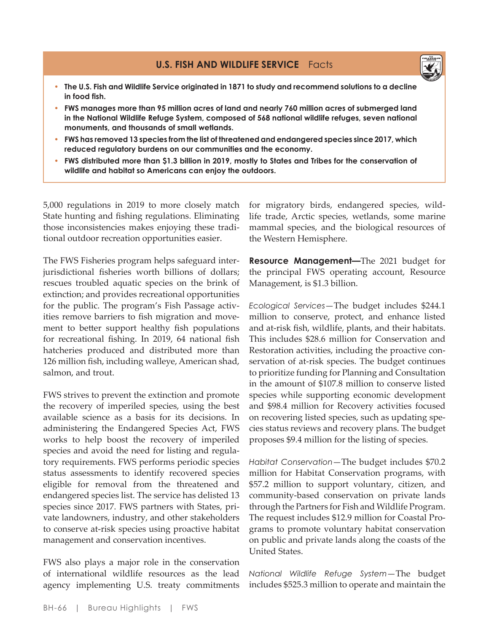

- **• The U.S. Fish and Wildlife Service originated in 1871 to study and recommend solutions to a decline in food fish.**
- **• FWS manages more than 95 million acres of land and nearly 760 million acres of submerged land in the National Wildlife Refuge System, composed of 568 national wildlife refuges, seven national monuments, and thousands of small wetlands.**
- **• FWS has removed 13 species from the list of threatened and endangered species since 2017, which reduced regulatory burdens on our communities and the economy.**
- **• FWS distributed more than \$1.3 billion in 2019, mostly to States and Tribes for the conservation of wildlife and habitat so Americans can enjoy the outdoors.**

5,000 regulations in 2019 to more closely match State hunting and fishing regulations. Eliminating those inconsistencies makes enjoying these traditional outdoor recreation opportunities easier.

The FWS Fisheries program helps safeguard interjurisdictional fisheries worth billions of dollars; rescues troubled aquatic species on the brink of extinction; and provides recreational opportunities for the public. The program's Fish Passage activities remove barriers to fish migration and movement to better support healthy fish populations for recreational fishing. In 2019, 64 national fish hatcheries produced and distributed more than 126 million fish, including walleye, American shad, salmon, and trout.

FWS strives to prevent the extinction and promote the recovery of imperiled species, using the best available science as a basis for its decisions. In administering the Endangered Species Act, FWS works to help boost the recovery of imperiled species and avoid the need for listing and regulatory requirements. FWS performs periodic species status assessments to identify recovered species eligible for removal from the threatened and endangered species list. The service has delisted 13 species since 2017. FWS partners with States, private landowners, industry, and other stakeholders to conserve at-risk species using proactive habitat management and conservation incentives.

FWS also plays a major role in the conservation of international wildlife resources as the lead agency implementing U.S. treaty commitments

for migratory birds, endangered species, wildlife trade, Arctic species, wetlands, some marine mammal species, and the biological resources of the Western Hemisphere.

**Resource Management—**The 2021 budget for the principal FWS operating account, Resource Management, is \$1.3 billion.

*Ecological Services*—The budget includes \$244.1 million to conserve, protect, and enhance listed and at-risk fish, wildlife, plants, and their habitats. This includes \$28.6 million for Conservation and Restoration activities, including the proactive conservation of at-risk species. The budget continues to prioritize funding for Planning and Consultation in the amount of \$107.8 million to conserve listed species while supporting economic development and \$98.4 million for Recovery activities focused on recovering listed species, such as updating species status reviews and recovery plans. The budget proposes \$9.4 million for the listing of species.

*Habitat Conservation*—The budget includes \$70.2 million for Habitat Conservation programs, with \$57.2 million to support voluntary, citizen, and community-based conservation on private lands through the Partners for Fish and Wildlife Program. The request includes \$12.9 million for Coastal Programs to promote voluntary habitat conservation on public and private lands along the coasts of the United States.

*National Wildlife Refuge System*—The budget includes \$525.3 million to operate and maintain the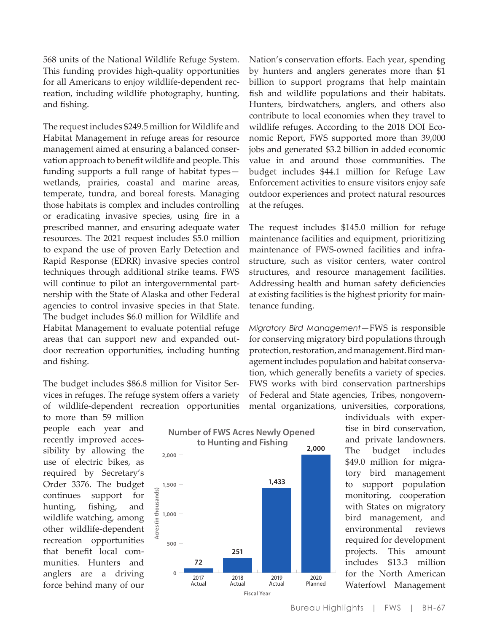568 units of the National Wildlife Refuge System. This funding provides high-quality opportunities for all Americans to enjoy wildlife-dependent recreation, including wildlife photography, hunting, and fishing.

The request includes \$249.5 million for Wildlife and Habitat Management in refuge areas for resource management aimed at ensuring a balanced conservation approach to benefit wildlife and people. This funding supports a full range of habitat types wetlands, prairies, coastal and marine areas, temperate, tundra, and boreal forests. Managing those habitats is complex and includes controlling or eradicating invasive species, using fire in a prescribed manner, and ensuring adequate water resources. The 2021 request includes \$5.0 million to expand the use of proven Early Detection and Rapid Response (EDRR) invasive species control techniques through additional strike teams. FWS will continue to pilot an intergovernmental partnership with the State of Alaska and other Federal agencies to control invasive species in that State. The budget includes \$6.0 million for Wildlife and Habitat Management to evaluate potential refuge areas that can support new and expanded outdoor recreation opportunities, including hunting and fishing.

The budget includes \$86.8 million for Visitor Services in refuges. The refuge system offers a variety of wildlife-dependent recreation opportunities

to more than 59 million people each year and recently improved accessibility by allowing the use of electric bikes, as required by Secretary's Order 3376. The budget continues support for hunting, fishing, and wildlife watching, among other wildlife-dependent recreation opportunities that benefit local communities. Hunters and anglers are a driving force behind many of our



**Number of FWS Acres Newly Opened** 

Nation's conservation efforts. Each year, spending by hunters and anglers generates more than \$1 billion to support programs that help maintain fish and wildlife populations and their habitats. Hunters, birdwatchers, anglers, and others also contribute to local economies when they travel to wildlife refuges. According to the 2018 DOI Economic Report, FWS supported more than 39,000 jobs and generated \$3.2 billion in added economic value in and around those communities. The budget includes \$44.1 million for Refuge Law Enforcement activities to ensure visitors enjoy safe outdoor experiences and protect natural resources at the refuges.

The request includes \$145.0 million for refuge maintenance facilities and equipment, prioritizing maintenance of FWS-owned facilities and infrastructure, such as visitor centers, water control structures, and resource management facilities. Addressing health and human safety deficiencies at existing facilities is the highest priority for maintenance funding.

*Migratory Bird Management*—FWS is responsible for conserving migratory bird populations through protection, restoration, and management. Bird management includes population and habitat conservation, which generally benefits a variety of species. FWS works with bird conservation partnerships of Federal and State agencies, Tribes, nongovernmental organizations, universities, corporations,

> individuals with expertise in bird conservation, and private landowners. The budget includes \$49.0 million for migratory bird management to support population monitoring, cooperation with States on migratory bird management, and environmental reviews required for development projects. This amount includes \$13.3 million for the North American Waterfowl Management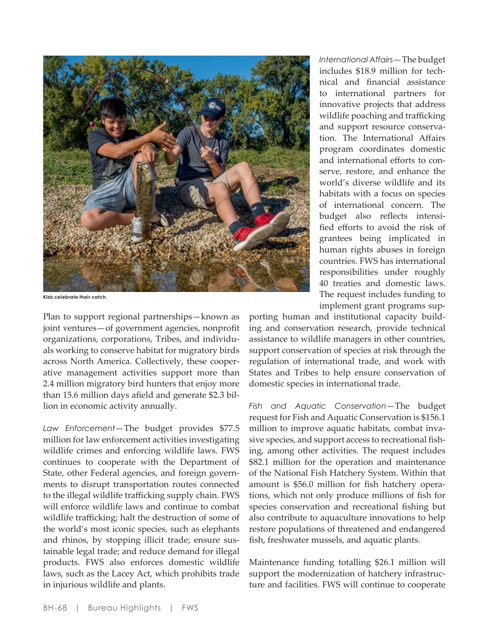

**Kids celebrate their catch.**

Plan to support regional partnerships—known as joint ventures—of government agencies, nonprofit organizations, corporations, Tribes, and individuals working to conserve habitat for migratory birds across North America. Collectively, these cooperative management activities support more than 2.4 million migratory bird hunters that enjoy more than 15.6 million days afield and generate \$2.3 billion in economic activity annually.

*Law Enforcement*—The budget provides \$77.5 million for law enforcement activities investigating wildlife crimes and enforcing wildlife laws. FWS continues to cooperate with the Department of State, other Federal agencies, and foreign governments to disrupt transportation routes connected to the illegal wildlife trafficking supply chain. FWS will enforce wildlife laws and continue to combat wildlife trafficking; halt the destruction of some of the world's most iconic species, such as elephants and rhinos, by stopping illicit trade; ensure sustainable legal trade; and reduce demand for illegal products. FWS also enforces domestic wildlife laws, such as the Lacey Act, which prohibits trade in injurious wildlife and plants.

*International Affairs*—The budget includes \$18.9 million for technical and financial assistance to international partners for innovative projects that address wildlife poaching and trafficking and support resource conservation. The International Affairs program coordinates domestic and international efforts to conserve, restore, and enhance the world's diverse wildlife and its habitats with a focus on species of international concern. The budget also reflects intensified efforts to avoid the risk of grantees being implicated in human rights abuses in foreign countries. FWS has international responsibilities under roughly 40 treaties and domestic laws. The request includes funding to implement grant programs sup-

porting human and institutional capacity building and conservation research, provide technical assistance to wildlife managers in other countries, support conservation of species at risk through the regulation of international trade, and work with States and Tribes to help ensure conservation of domestic species in international trade.

*Fish and Aquatic Conservation*—The budget request for Fish and Aquatic Conservation is \$156.1 million to improve aquatic habitats, combat invasive species, and support access to recreational fishing, among other activities. The request includes \$82.1 million for the operation and maintenance of the National Fish Hatchery System. Within that amount is \$56.0 million for fish hatchery operations, which not only produce millions of fish for species conservation and recreational fishing but also contribute to aquaculture innovations to help restore populations of threatened and endangered fish, freshwater mussels, and aquatic plants.

Maintenance funding totalling \$26.1 million will support the modernization of hatchery infrastructure and facilities. FWS will continue to cooperate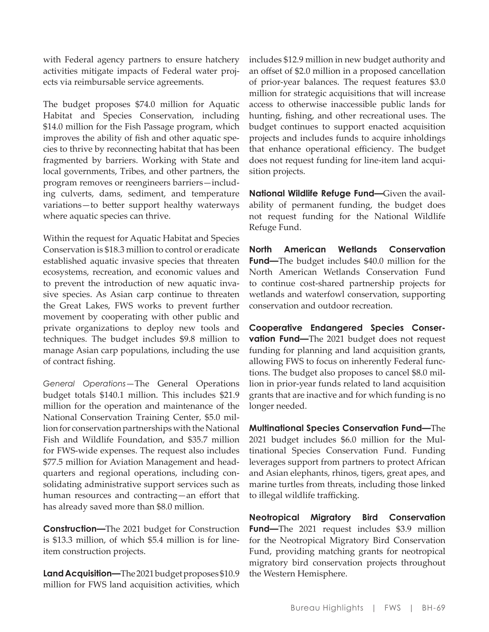with Federal agency partners to ensure hatchery activities mitigate impacts of Federal water projects via reimbursable service agreements.

The budget proposes \$74.0 million for Aquatic Habitat and Species Conservation, including \$14.0 million for the Fish Passage program, which improves the ability of fish and other aquatic species to thrive by reconnecting habitat that has been fragmented by barriers. Working with State and local governments, Tribes, and other partners, the program removes or reengineers barriers—including culverts, dams, sediment, and temperature variations—to better support healthy waterways where aquatic species can thrive.

Within the request for Aquatic Habitat and Species Conservation is \$18.3 million to control or eradicate established aquatic invasive species that threaten ecosystems, recreation, and economic values and to prevent the introduction of new aquatic invasive species. As Asian carp continue to threaten the Great Lakes, FWS works to prevent further movement by cooperating with other public and private organizations to deploy new tools and techniques. The budget includes \$9.8 million to manage Asian carp populations, including the use of contract fishing.

*General Operations*—The General Operations budget totals \$140.1 million. This includes \$21.9 million for the operation and maintenance of the National Conservation Training Center, \$5.0 million for conservation partnerships with the National Fish and Wildlife Foundation, and \$35.7 million for FWS-wide expenses. The request also includes \$77.5 million for Aviation Management and headquarters and regional operations, including consolidating administrative support services such as human resources and contracting—an effort that has already saved more than \$8.0 million.

**Construction—**The 2021 budget for Construction is \$13.3 million, of which \$5.4 million is for lineitem construction projects.

**Land Acquisition—**The 2021 budget proposes \$10.9 million for FWS land acquisition activities, which includes \$12.9 million in new budget authority and an offset of \$2.0 million in a proposed cancellation of prior-year balances. The request features \$3.0 million for strategic acquisitions that will increase access to otherwise inaccessible public lands for hunting, fishing, and other recreational uses. The budget continues to support enacted acquisition projects and includes funds to acquire inholdings that enhance operational efficiency. The budget does not request funding for line-item land acquisition projects.

**National Wildlife Refuge Fund—**Given the availability of permanent funding, the budget does not request funding for the National Wildlife Refuge Fund.

**North American Wetlands Conservation Fund—**The budget includes \$40.0 million for the North American Wetlands Conservation Fund to continue cost-shared partnership projects for wetlands and waterfowl conservation, supporting conservation and outdoor recreation.

**Cooperative Endangered Species Conservation Fund—**The 2021 budget does not request funding for planning and land acquisition grants, allowing FWS to focus on inherently Federal functions. The budget also proposes to cancel \$8.0 million in prior-year funds related to land acquisition grants that are inactive and for which funding is no longer needed.

**Multinational Species Conservation Fund—**The 2021 budget includes \$6.0 million for the Multinational Species Conservation Fund. Funding leverages support from partners to protect African and Asian elephants, rhinos, tigers, great apes, and marine turtles from threats, including those linked to illegal wildlife trafficking.

**Neotropical Migratory Bird Conservation Fund—**The 2021 request includes \$3.9 million for the Neotropical Migratory Bird Conservation Fund, providing matching grants for neotropical migratory bird conservation projects throughout the Western Hemisphere.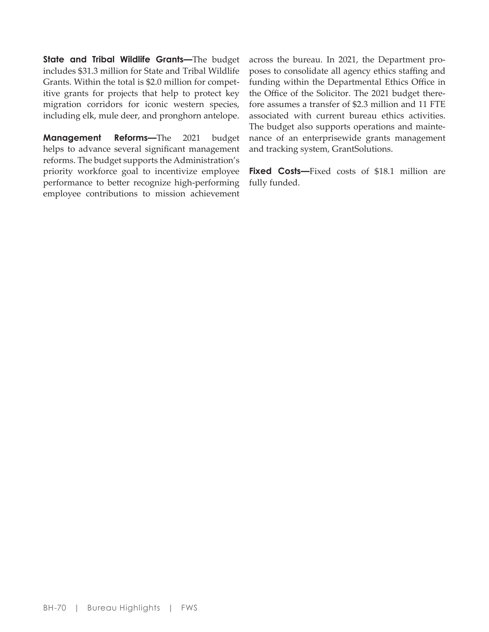**State and Tribal Wildlife Grants—**The budget includes \$31.3 million for State and Tribal Wildlife Grants. Within the total is \$2.0 million for competitive grants for projects that help to protect key migration corridors for iconic western species, including elk, mule deer, and pronghorn antelope.

**Management Reforms—**The 2021 budget helps to advance several significant management reforms. The budget supports the Administration's priority workforce goal to incentivize employee performance to better recognize high-performing employee contributions to mission achievement

across the bureau. In 2021, the Department proposes to consolidate all agency ethics staffing and funding within the Departmental Ethics Office in the Office of the Solicitor. The 2021 budget therefore assumes a transfer of \$2.3 million and 11 FTE associated with current bureau ethics activities. The budget also supports operations and maintenance of an enterprisewide grants management and tracking system, GrantSolutions.

Fixed Costs-Fixed costs of \$18.1 million are fully funded.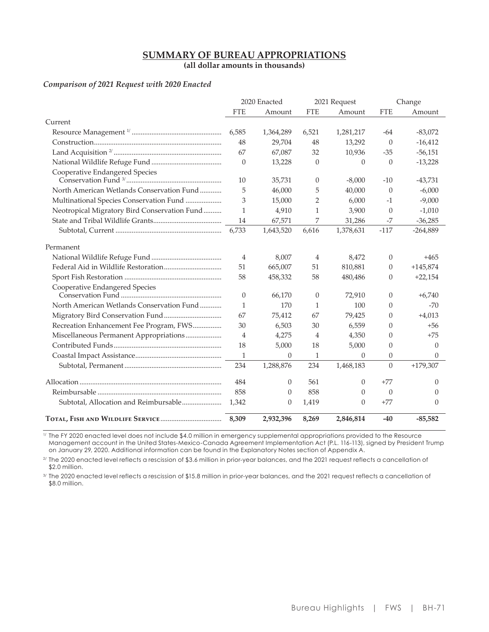# **SUMMARY OF BUREAU APPROPRIATIONS**

(all dollar amounts in thousands)

#### Comparison of 2021 Request with 2020 Enacted

|                                              |                | 2020 Enacted |                | 2021 Request         |                   | Change               |
|----------------------------------------------|----------------|--------------|----------------|----------------------|-------------------|----------------------|
|                                              | <b>FTE</b>     | Amount       | <b>FTE</b>     | Amount               | <b>FTE</b>        | Amount               |
| Current                                      |                |              |                |                      |                   |                      |
|                                              | 6,585          | 1,364,289    | 6,521          | 1,281,217            | -64               | $-83,072$            |
|                                              | 48             | 29,704       | 48             | 13,292               | $\theta$          | $-16,412$            |
|                                              | 67             | 67,087       | 32             | 10,936               | $-35$             | $-56,151$            |
|                                              | $\Omega$       | 13,228       | $\Omega$       | $\Omega$             | $\Omega$          | $-13,228$            |
| Cooperative Endangered Species               | 10             | 35,731       | $\theta$       | $-8,000$             | $-10$             | $-43,731$            |
| North American Wetlands Conservation Fund    | 5              | 46,000       | 5              | 40,000               | $\Omega$          | $-6,000$             |
| Multinational Species Conservation Fund      | 3              | 15,000       | $\overline{2}$ | 6.000                | $-1$              | $-9,000$             |
| Neotropical Migratory Bird Conservation Fund | $\mathbf{1}$   | 4,910        | $\mathbf{1}$   | 3,900                | $\theta$          | $-1,010$             |
|                                              | 14             | 67,571       | 7              | 31,286               | $-7$              | $-36,285$            |
|                                              | 6,733          | 1,643,520    | 6,616          | 1,378,631            | $-117$            | $-264,889$           |
| Permanent                                    |                |              |                |                      |                   |                      |
|                                              | $\overline{4}$ | 8,007        | 4              | 8,472                | $\theta$          | $+465$               |
|                                              | 51             | 665,007      | 51             | 810,881              | $\theta$          | $+145,874$           |
|                                              | 58             | 458,332      | 58             | 480,486              | $\Omega$          | $+22,154$            |
| Cooperative Endangered Species               | $\theta$       | 66,170       | $\Omega$       | 72,910               | $\Omega$          | $+6,740$             |
| North American Wetlands Conservation Fund    | $\mathbf{1}$   | 170          | 1              | 100                  | $\Omega$          | $-70$                |
|                                              | 67             | 75,412       | 67             | 79,425               | $\theta$          | $+4,013$             |
| Recreation Enhancement Fee Program, FWS      | 30             | 6,503        | 30             | 6,559                | $\Omega$          | $+56$                |
| Miscellaneous Permanent Appropriations       | $\overline{4}$ | 4,275        | $\overline{4}$ | 4,350                | $\Omega$          | $+75$                |
|                                              | 18             | 5,000        | 18             | 5,000                | $\Omega$          | $\Omega$             |
|                                              | $\mathbf{1}$   | $\Omega$     | 1              | $\Omega$             | $\theta$          | $\Omega$             |
|                                              | 234            | 1,288,876    | 234            | 1,468,183            | $\Omega$          | $+179,307$           |
|                                              | 484            | $\theta$     | 561            | $\theta$             | $+77$             | $\theta$             |
|                                              | 858            |              | 858            |                      |                   |                      |
| Subtotal, Allocation and Reimbursable        |                | $\theta$     |                | $\Omega$<br>$\theta$ | $\theta$<br>$+77$ | $\Omega$<br>$\theta$ |
|                                              | 1,342          | 0            | 1,419          |                      |                   |                      |
|                                              | 8,309          | 2,932,396    | 8,269          | 2,846,814            | $-40$             | $-85,582$            |

 $\overline{V}$  The FY 2020 enacted level does not include \$4.0 million in emergency supplemental appropriations provided to the Resource Management account in the United States-Mexico-Canada Agreement Implementation Act (P.L. 116-113), signed by President Trump on January 29, 2020. Additional information can be found in the Explanatory Notes section of Appendix A.

<sup>2/</sup> The 2020 enacted level reflects a rescission of \$3.6 million in prior-year balances, and the 2021 request reflects a cancellation of \$2.0 million.

3/ The 2020 enacted level reflects a rescission of \$15.8 million in prior-year balances, and the 2021 request reflects a cancellation of \$8.0 million.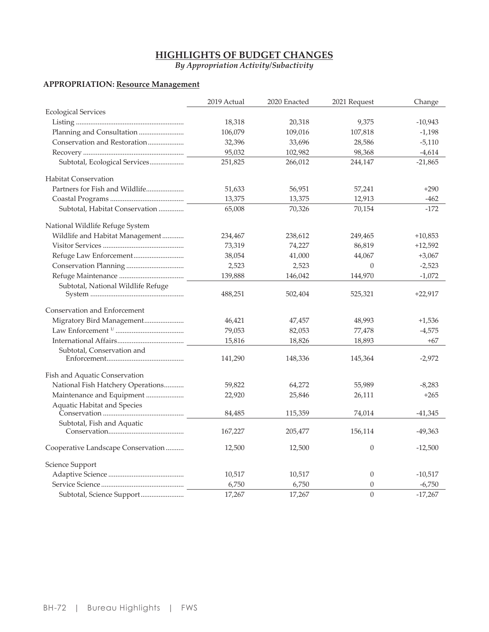# **HIGHLIGHTS OF BUDGET CHANGES**

By Appropriation Activity/Subactivity

# **APPROPRIATION:** Resource Management

|                                    | 2019 Actual | 2020 Enacted | 2021 Request   | Change    |
|------------------------------------|-------------|--------------|----------------|-----------|
| <b>Ecological Services</b>         |             |              |                |           |
|                                    | 18,318      | 20,318       | 9,375          | $-10,943$ |
| Planning and Consultation          | 106,079     | 109,016      | 107,818        | $-1,198$  |
| Conservation and Restoration       | 32,396      | 33,696       | 28,586         | $-5,110$  |
|                                    | 95,032      | 102,982      | 98,368         | $-4,614$  |
| Subtotal, Ecological Services      | 251,825     | 266,012      | 244,147        | $-21,865$ |
| <b>Habitat Conservation</b>        |             |              |                |           |
| Partners for Fish and Wildlife     | 51,633      | 56,951       | 57,241         | $+290$    |
|                                    | 13,375      | 13,375       | 12,913         | $-462$    |
| Subtotal, Habitat Conservation     | 65,008      | 70,326       | 70,154         | $-172$    |
| National Wildlife Refuge System    |             |              |                |           |
| Wildlife and Habitat Management    | 234,467     | 238,612      | 249,465        | $+10,853$ |
|                                    | 73,319      | 74,227       | 86,819         | $+12,592$ |
|                                    | 38,054      | 41,000       | 44,067         | $+3,067$  |
|                                    | 2,523       | 2,523        | 0              | $-2,523$  |
|                                    | 139,888     | 146,042      | 144,970        | $-1,072$  |
| Subtotal, National Wildlife Refuge | 488,251     | 502,404      | 525,321        | $+22,917$ |
| Conservation and Enforcement       |             |              |                |           |
| Migratory Bird Management          | 46,421      | 47,457       | 48,993         | $+1,536$  |
|                                    | 79,053      | 82,053       | 77,478         | $-4,575$  |
|                                    | 15,816      | 18,826       | 18,893         | +67       |
| Subtotal, Conservation and         |             |              |                |           |
|                                    | 141,290     | 148,336      | 145,364        | $-2,972$  |
| Fish and Aquatic Conservation      |             |              |                |           |
| National Fish Hatchery Operations  | 59,822      | 64,272       | 55,989         | $-8,283$  |
| Maintenance and Equipment          | 22,920      | 25,846       | 26,111         | $+265$    |
| Aquatic Habitat and Species        |             |              |                |           |
|                                    | 84,485      | 115,359      | 74,014         | $-41,345$ |
| Subtotal, Fish and Aquatic         |             |              |                |           |
|                                    | 167,227     | 205,477      | 156,114        | $-49,363$ |
| Cooperative Landscape Conservation | 12,500      | 12,500       | $\overline{0}$ | $-12,500$ |
| Science Support                    |             |              |                |           |
|                                    | 10,517      | 10,517       | $\theta$       | $-10,517$ |
|                                    | 6,750       | 6,750        | $\overline{0}$ | $-6,750$  |
| Subtotal, Science Support          | 17,267      | 17,267       | $\theta$       | $-17,267$ |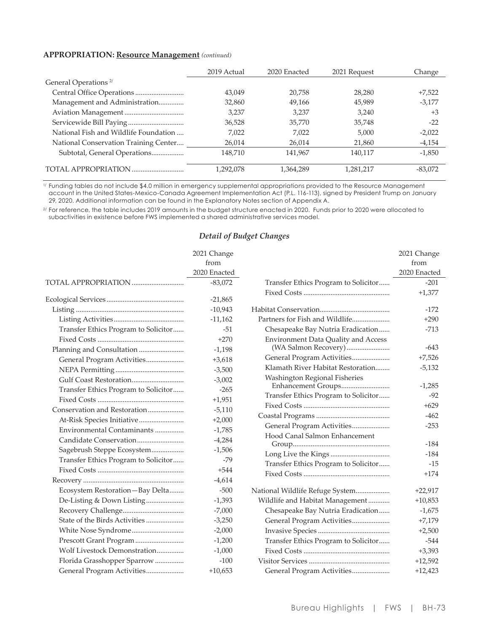#### **APPROPRIATION: Resource Management (continued)**

|                                       | 2019 Actual | 2020 Enacted | 2021 Request | Change    |
|---------------------------------------|-------------|--------------|--------------|-----------|
| General Operations <sup>2/</sup>      |             |              |              |           |
|                                       | 43.049      | 20.758       | 28,280       | $+7,522$  |
| Management and Administration         | 32,860      | 49,166       | 45,989       | $-3,177$  |
|                                       | 3,237       | 3,237        | 3,240        | $+3$      |
|                                       | 36,528      | 35,770       | 35,748       | $-22$     |
| National Fish and Wildlife Foundation | 7,022       | 7,022        | 5,000        | $-2,022$  |
| National Conservation Training Center | 26,014      | 26,014       | 21,860       | $-4,154$  |
| Subtotal, General Operations          | 148.710     | 141,967      | 140.117      | $-1,850$  |
| TOTAL APPROPRIATION                   | 1,292,078   | 1,364,289    | 1,281,217    | $-83,072$ |

<sup>1/</sup> Funding tables do not include \$4.0 million in emergency supplemental appropriations provided to the Resource Management<br>account in the United States-Mexico-Canada Agreement Implementation Act (P.L. 116-113), signed by 29, 2020. Additional information can be found in the Explanatory Notes section of Appendix A.

<sup>2/</sup> For reference, the table includes 2019 amounts in the budget structure enacted in 2020. Funds prior to 2020 were allocated to subactivities in existence before FWS implemented a shared administrative services model.

|                                      | 2021 Change<br>from<br>2020 Enacted |                                      | 2021 Change<br>from<br>2020 Enacted |
|--------------------------------------|-------------------------------------|--------------------------------------|-------------------------------------|
| TOTAL APPROPRIATION                  | $-83,072$                           | Transfer Ethics Program to Solicitor | $-201$                              |
|                                      | $-21,865$                           |                                      | $+1,377$                            |
|                                      | $-10,943$                           |                                      | $-172$                              |
|                                      | $-11,162$                           | Partners for Fish and Wildlife       | $+290$                              |
| Transfer Ethics Program to Solicitor | $-51$                               | Chesapeake Bay Nutria Eradication    | $-713$                              |
|                                      | $+270$                              | Environment Data Quality and Access  |                                     |
| Planning and Consultation            | $-1,198$                            |                                      | $-643$                              |
| General Program Activities           | $+3,618$                            | General Program Activities           | $+7,526$                            |
|                                      | $-3,500$                            | Klamath River Habitat Restoration    | $-5,132$                            |
|                                      | $-3,002$                            | Washington Regional Fisheries        |                                     |
| Transfer Ethics Program to Solicitor | $-265$                              |                                      | $-1,285$                            |
|                                      | $+1,951$                            | Transfer Ethics Program to Solicitor | $-92$                               |
|                                      | $-5,110$                            |                                      | $+629$                              |
| At-Risk Species Initiative           | $+2,000$                            |                                      | $-462$                              |
| Environmental Contaminants           | $-1,785$                            | General Program Activities           | $-253$                              |
|                                      | $-4,284$                            | Hood Canal Salmon Enhancement        |                                     |
| Sagebrush Steppe Ecosystem           | $-1,506$                            |                                      | $-184$                              |
| Transfer Ethics Program to Solicitor | $-79$                               |                                      | $-184$                              |
|                                      | $+544$                              | Transfer Ethics Program to Solicitor | $-15$                               |
|                                      | $-4,614$                            |                                      | $+174$                              |
| Ecosystem Restoration-Bay Delta      | $-500$                              | National Wildlife Refuge System      | $+22,917$                           |
| De-Listing & Down Listing            | $-1,393$                            | Wildlife and Habitat Management      | $+10,853$                           |
|                                      | $-7,000$                            | Chesapeake Bay Nutria Eradication    | $-1,675$                            |
| State of the Birds Activities        | $-3,250$                            | General Program Activities           | $+7,179$                            |
|                                      | $-2,000$                            |                                      | $+2,500$                            |
| Prescott Grant Program               | $-1,200$                            | Transfer Ethics Program to Solicitor | $-544$                              |
| Wolf Livestock Demonstration         | $-1,000$                            |                                      | $+3,393$                            |
| Florida Grasshopper Sparrow          | $-100$                              |                                      | $+12,592$                           |
| General Program Activities           | $+10,653$                           | General Program Activities           | $+12,423$                           |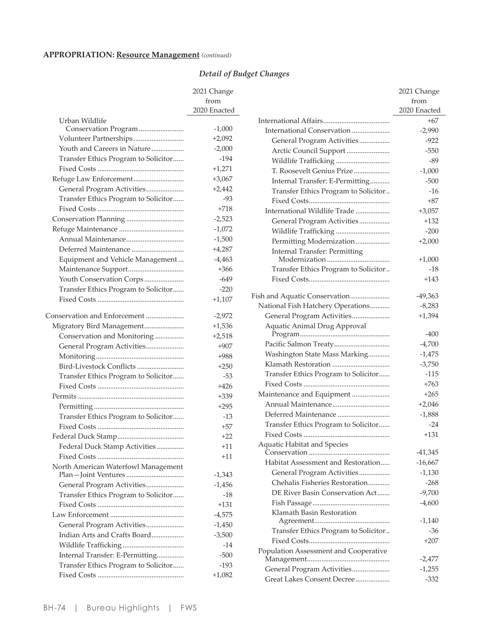# **APPROPRIATION:** Resource Management (continued)

|                                      | 2021 Change  |
|--------------------------------------|--------------|
|                                      | from         |
|                                      | 2020 Enacted |
| Urban Wildlife                       |              |
| Conservation Program                 | $-1,000$     |
| Volunteer Partnerships               | $+2,092$     |
| Youth and Careers in Nature          | $-2,000$     |
| Transfer Ethics Program to Solicitor | $-194$       |
|                                      | $+1,271$     |
| Refuge Law Enforcement               | $+3,067$     |
| General Program Activities           | $+2,442$     |
| Transfer Ethics Program to Solicitor | $-93$        |
|                                      | $+718$       |
|                                      | $-2,523$     |
|                                      | $-1,072$     |
|                                      | $-1,500$     |
| Deferred Maintenance                 | $+4,287$     |
| Equipment and Vehicle Management     | $-4,463$     |
| Maintenance Support                  | $+366$       |
| Youth Conservation Corps             | $-649$       |
| Transfer Ethics Program to Solicitor | $-220$       |
|                                      | $+1,107$     |
| Conservation and Enforcement         | $-2,972$     |
| Migratory Bird Management            | $+1,536$     |
| Conservation and Monitoring          | $+2,518$     |
| General Program Activities           | $+907$       |
|                                      | $+988$       |
|                                      | $+250$       |
| Transfer Ethics Program to Solicitor | $-53$        |
|                                      | $+426$       |
|                                      | $+339$       |
|                                      | $+295$       |
| Transfer Ethics Program to Solicitor | -13          |
|                                      | $+57$        |
|                                      | $+22$        |
| Federal Duck Stamp Activities        | $+11$        |
|                                      | $+11$        |
| North American Waterfowl Management  | $-1,343$     |
| General Program Activities           | $-1,456$     |
| Transfer Ethics Program to Solicitor | $-18$        |
|                                      | $+131$       |
|                                      | $-4,575$     |
| General Program Activities           | $-1,450$     |
| Indian Arts and Crafts Board         | $-3,500$     |
|                                      | $-14$        |
| Internal Transfer: E-Permitting      | $-500$       |
| Transfer Ethics Program to Solicitor | $-193$       |
|                                      | $+1,082$     |
|                                      |              |

|                                                          | 2021 Change        |
|----------------------------------------------------------|--------------------|
|                                                          | from               |
|                                                          | 2020 Enacted       |
|                                                          | $+67$              |
| International Conservation                               | $-2,990$           |
| General Program Activities                               | -922               |
| Arctic Council Support                                   | $-550$             |
| Wildlife Trafficking                                     | $-89$              |
| T. Roosevelt Genius Prize                                | $-1,000$           |
| Internal Transfer: E-Permitting                          | $-500$             |
| Transfer Ethics Program to Solicitor                     | $-16$              |
|                                                          | +87                |
| International Wildlife Trade                             | $+3,057$           |
| General Program Activities                               | +132               |
| Wildlife Trafficking                                     | $-200$             |
| Permitting Modernization                                 | $+2,000$           |
| <b>Internal Transfer: Permitting</b>                     |                    |
|                                                          | $+1,000$           |
| Transfer Ethics Program to Solicitor                     | $-18$              |
|                                                          | +143               |
| Fish and Aquatic Conservation                            | $-49,363$          |
| National Fish Hatchery Operations                        | $-8,283$           |
| General Program Activities                               | $+1,394$           |
| Aquatic Animal Drug Approval                             |                    |
|                                                          | -400               |
|                                                          | $-4,700$           |
| Washington State Mass Marking                            | $-1,475$           |
|                                                          | $-3,750$           |
| Transfer Ethics Program to Solicitor                     | $-115$             |
|                                                          | $+763$             |
| Maintenance and Equipment                                | $+265$             |
| Annual Maintenance                                       | $+2,046$           |
|                                                          | $-1,888$           |
| Transfer Ethics Program to Solicitor                     | $-24$              |
|                                                          | $+131$             |
| <b>Aquatic Habitat and Species</b>                       | $-41,345$          |
| Habitat Assessment and Restoration                       | $-16,667$          |
| General Program Activities                               | $-1,130$           |
| Chehalis Fisheries Restoration                           | $-268$             |
| DE River Basin Conservation Act                          | $-9,700$           |
|                                                          | $-4,600$           |
| Klamath Basin Restoration                                |                    |
|                                                          | $-1,140$           |
| Transfer Ethics Program to Solicitor                     | $-36$              |
|                                                          | $+207$             |
| Population Assessment and Cooperative                    |                    |
|                                                          | -2,477             |
| General Program Activities<br>Great Lakes Consent Decree | $-1,255$<br>$-332$ |
|                                                          |                    |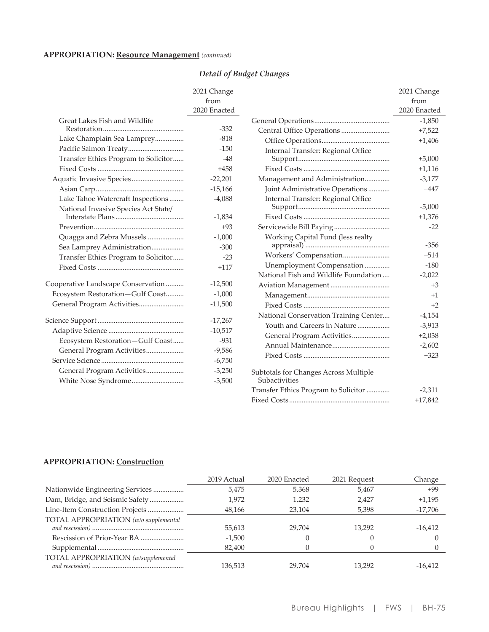# **APPROPRIATION:** Resource Management (continued)

# Detail of Budget Changes

|                                      | 2021 Change<br>from<br>2020 Enacted |
|--------------------------------------|-------------------------------------|
| Great Lakes Fish and Wildlife        |                                     |
|                                      | $-332$                              |
| Lake Champlain Sea Lamprey           | $-818$                              |
| Pacific Salmon Treaty                | $-150$                              |
| Transfer Ethics Program to Solicitor | $-48$                               |
|                                      | $+458$                              |
|                                      | $-22,201$                           |
|                                      | $-15,166$                           |
| Lake Tahoe Watercraft Inspections    | $-4,088$                            |
| National Invasive Species Act State/ |                                     |
|                                      | $-1,834$                            |
|                                      | $+93$                               |
| Quagga and Zebra Mussels             | $-1,000$                            |
| Sea Lamprey Administration           | $-300$                              |
| Transfer Ethics Program to Solicitor | $-23$                               |
|                                      | $+117$                              |
| Cooperative Landscape Conservation   | $-12,500$                           |
| Ecosystem Restoration-Gulf Coast     | $-1,000$                            |
| General Program Activities           | $-11,500$                           |
|                                      |                                     |
|                                      | $-17,267$                           |
|                                      | $-10,517$                           |
| Ecosystem Restoration-Gulf Coast     | $-931$                              |
| General Program Activities           | $-9,586$                            |
|                                      | $-6,750$                            |
| General Program Activities           | $-3,250$                            |
|                                      | $-3,500$                            |
|                                      |                                     |

|                                                        | 2021 Change  |
|--------------------------------------------------------|--------------|
|                                                        | from         |
|                                                        | 2020 Enacted |
|                                                        | $-1,850$     |
|                                                        | $+7,522$     |
|                                                        | $+1,406$     |
| Internal Transfer: Regional Office                     |              |
|                                                        | $+5,000$     |
|                                                        | $+1,116$     |
| Management and Administration                          | $-3,177$     |
| Joint Administrative Operations                        | $+447$       |
| Internal Transfer: Regional Office                     |              |
|                                                        | $-5,000$     |
|                                                        | $+1,376$     |
| Servicewide Bill Paying                                | $-22$        |
| Working Capital Fund (less realty                      |              |
|                                                        | $-356$       |
| Workers' Compensation                                  | $+514$       |
| Unemployment Compensation                              | $-180$       |
| National Fish and Wildlife Foundation                  | $-2,022$     |
|                                                        | $+3$         |
|                                                        | $+1$         |
|                                                        | $+2$         |
| National Conservation Training Center                  | $-4,154$     |
| Youth and Careers in Nature                            | $-3,913$     |
| General Program Activities                             | $+2,038$     |
|                                                        | $-2,602$     |
|                                                        | $+323$       |
| Subtotals for Changes Across Multiple<br>Subactivities |              |
| Transfer Ethics Program to Solicitor                   | $-2,311$     |
|                                                        | $+17,842$    |

### **APPROPRIATION: Construction**

|                                       | 2019 Actual | 2020 Enacted | 2021 Request | Change    |
|---------------------------------------|-------------|--------------|--------------|-----------|
| Nationwide Engineering Services       | 5,475       | 5,368        | 5,467        | $+99$     |
| Dam, Bridge, and Seismic Safety       | 1,972       | 1,232        | 2.427        | $+1.195$  |
| Line-Item Construction Projects       | 48,166      | 23.104       | 5,398        | $-17,706$ |
| TOTAL APPROPRIATION (w/o supplemental | 55,613      | 29.704       | 13,292       | $-16,412$ |
|                                       | $-1,500$    |              |              |           |
|                                       | 82,400      |              |              |           |
| TOTAL APPROPRIATION (w/supplemental   | 136.513     | 29.704       | 13.292       | $-16.412$ |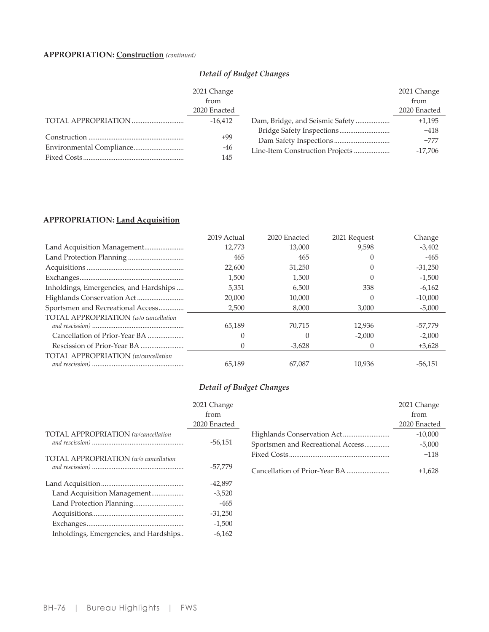# **APPROPRIATION:** Construction (continued)

## Detail of Budget Changes

| 2021 Change  |                                 | 2021 Change  |
|--------------|---------------------------------|--------------|
| from         |                                 | from         |
| 2020 Enacted |                                 | 2020 Enacted |
| $-16.412$    | Dam, Bridge, and Seismic Safety | $+1,195$     |
|              |                                 | $+418$       |
| +99          |                                 | $+777$       |
| -46          | Line-Item Construction Projects | $-17.706$    |
| 145          |                                 |              |

### APPROPRIATION: Land Acquisition

|                                            | 2019 Actual | 2020 Enacted | 2021 Request     | Change    |
|--------------------------------------------|-------------|--------------|------------------|-----------|
|                                            | 12.773      | 13,000       | 9,598            | $-3,402$  |
|                                            | 465         | 465          |                  | $-465$    |
|                                            | 22,600      | 31,250       |                  | $-31,250$ |
|                                            | 1,500       | 1,500        |                  | $-1,500$  |
| Inholdings, Emergencies, and Hardships     | 5,351       | 6,500        | 338              | $-6,162$  |
|                                            | 20,000      | 10,000       |                  | $-10,000$ |
| Sportsmen and Recreational Access          | 2,500       | 8.000        | 3,000            | $-5,000$  |
| TOTAL APPROPRIATION (w/o cancellation      |             |              |                  |           |
|                                            | 65,189      | 70,715       | 12,936           | $-57,779$ |
| Cancellation of Prior-Year BA              |             |              | $-2.000$         | $-2,000$  |
|                                            |             | $-3,628$     | $\left( \right)$ | $+3,628$  |
| <b>TOTAL APPROPRIATION</b> (w/cancellation |             |              |                  |           |
|                                            | 65,189      | 67.087       | 10.936           | $-56.151$ |

|                                            | 2021 Change  |                                        |
|--------------------------------------------|--------------|----------------------------------------|
|                                            | from         |                                        |
|                                            | 2020 Enacted |                                        |
| <b>TOTAL APPROPRIATION</b> (w/cancellation | $-56,151$    | Highlands Conserv<br>Sportsmen and Rec |
| TOTAL APPROPRIATION (w/o cancellation      | $-57,779$    | Fixed Costs<br>Cancellation of Pric    |
|                                            | $-42,897$    |                                        |
| Land Acquisition Management                | $-3,520$     |                                        |
|                                            | $-465$       |                                        |
|                                            | $-31,250$    |                                        |
|                                            | $-1,500$     |                                        |
| Inholdings, Emergencies, and Hardships     | $-6,162$     |                                        |
|                                            |              |                                        |

|                                   | 2021 Change<br>from |
|-----------------------------------|---------------------|
|                                   | 2020 Enacted        |
|                                   | $-10,000$           |
| Sportsmen and Recreational Access | $-5,000$            |
|                                   | $+118$              |
|                                   | $+1,628$            |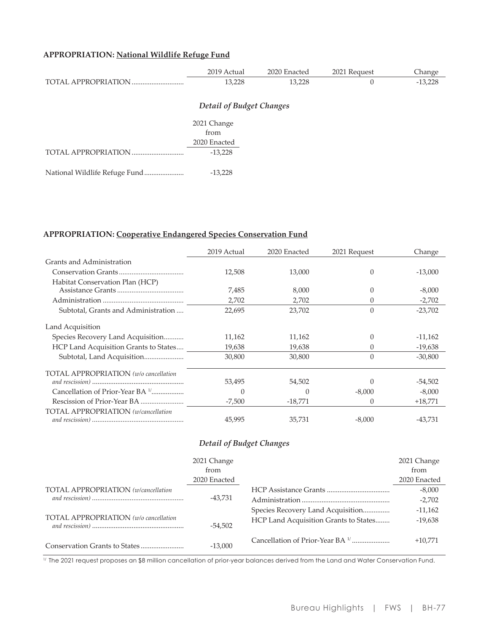# APPROPRIATION: National Wildlife Refuge Fund

|                                 | 2019 Actual         | 2020 Enacted | 2021 Request | Change    |  |  |  |
|---------------------------------|---------------------|--------------|--------------|-----------|--|--|--|
|                                 | 13,228              | 13,228       | 0            | $-13,228$ |  |  |  |
| <b>Detail of Budget Changes</b> |                     |              |              |           |  |  |  |
|                                 |                     |              |              |           |  |  |  |
|                                 | 2021 Change<br>from |              |              |           |  |  |  |
|                                 |                     |              |              |           |  |  |  |
|                                 | 2020 Enacted        |              |              |           |  |  |  |
|                                 | $-13,228$           |              |              |           |  |  |  |
|                                 |                     |              |              |           |  |  |  |
| National Wildlife Refuge Fund   | $-13,228$           |              |              |           |  |  |  |

## APPROPRIATION: Cooperative Endangered Species Conservation Fund

|                                              | 2019 Actual | 2020 Enacted | 2021 Request | Change    |
|----------------------------------------------|-------------|--------------|--------------|-----------|
| Grants and Administration                    |             |              |              |           |
|                                              | 12.508      | 13,000       | 0            | $-13,000$ |
| Habitat Conservation Plan (HCP)              |             |              |              |           |
|                                              | 7,485       | 8,000        | 0            | $-8,000$  |
|                                              | 2,702       | 2,702        |              | $-2,702$  |
| Subtotal, Grants and Administration          | 22,695      | 23,702       |              | $-23,702$ |
| Land Acquisition                             |             |              |              |           |
| Species Recovery Land Acquisition            | 11,162      | 11,162       | 0            | $-11,162$ |
| HCP Land Acquisition Grants to States        | 19,638      | 19,638       | $\theta$     | $-19,638$ |
| Subtotal, Land Acquisition                   | 30,800      | 30,800       | $\Omega$     | $-30,800$ |
| TOTAL APPROPRIATION (w/o cancellation        |             |              |              |           |
|                                              | 53,495      | 54,502       |              | $-54,502$ |
| Cancellation of Prior-Year BA <sup>1</sup> ' | $\Omega$    | 0            | $-8,000$     | $-8,000$  |
|                                              | $-7,500$    | $-18,771$    | 0            | $+18,771$ |
| TOTAL APPROPRIATION (w/cancellation          |             |              |              |           |
|                                              | 45,995      | 35,731       | $-8,000$     | $-43,731$ |

## **Detail of Budget Changes**

|                                       | 2021 Change<br>from<br>2020 Enacted |                                             | 2021 Change<br>from<br>2020 Enacted |
|---------------------------------------|-------------------------------------|---------------------------------------------|-------------------------------------|
| TOTAL APPROPRIATION (w/cancellation   | $-43.731$                           |                                             | $-8,000$                            |
|                                       |                                     |                                             | $-2,702$                            |
| TOTAL APPROPRIATION (w/o cancellation | $-54.502$                           |                                             | $-11,162$                           |
|                                       |                                     | HCP Land Acquisition Grants to States       | $-19,638$                           |
|                                       | $-13,000$                           | Cancellation of Prior-Year BA <sup>1/</sup> | $+10.771$                           |

<sup>1/</sup> The 2021 request proposes an \$8 million cancellation of prior-year balances derived from the Land and Water Conservation Fund.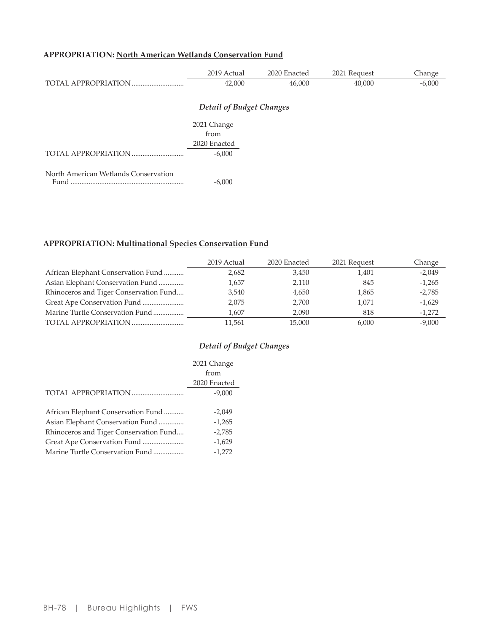# APPROPRIATION: North American Wetlands Conservation Fund

|                                              | 2019 Actual  | 2020 Enacted | 2021 Request | Change   |  |  |
|----------------------------------------------|--------------|--------------|--------------|----------|--|--|
|                                              | 42,000       | 46,000       | 40,000       | $-6,000$ |  |  |
|                                              |              |              |              |          |  |  |
| <b>Detail of Budget Changes</b>              |              |              |              |          |  |  |
|                                              | 2021 Change  |              |              |          |  |  |
|                                              | from         |              |              |          |  |  |
|                                              | 2020 Enacted |              |              |          |  |  |
| TOTAL APPROPRIATION                          | $-6,000$     |              |              |          |  |  |
|                                              |              |              |              |          |  |  |
| North American Wetlands Conservation<br>Fund | $-6,000$     |              |              |          |  |  |

# APPROPRIATION: Multinational Species Conservation Fund

|                                        | 2019 Actual | 2020 Enacted | 2021 Request | Change   |
|----------------------------------------|-------------|--------------|--------------|----------|
| African Elephant Conservation Fund     | 2,682       | 3,450        | 1.401        | $-2,049$ |
| Asian Elephant Conservation Fund       | 1.657       | 2,110        | 845          | $-1,265$ |
| Rhinoceros and Tiger Conservation Fund | 3,540       | 4,650        | 1,865        | $-2,785$ |
|                                        | 2,075       | 2.700        | 1.071        | $-1,629$ |
| Marine Turtle Conservation Fund        | 1.607       | 2,090        | 818          | $-1,272$ |
|                                        | 11.561      | 15.000       | 6.000        | $-9,000$ |

|                                        | 2021 Change  |
|----------------------------------------|--------------|
|                                        | from         |
|                                        | 2020 Enacted |
| TOTAL APPROPRIATION                    | $-9,000$     |
|                                        |              |
| African Elephant Conservation Fund     | $-2,049$     |
| Asian Elephant Conservation Fund       | $-1,265$     |
| Rhinoceros and Tiger Conservation Fund | $-2,785$     |
|                                        | $-1,629$     |
| Marine Turtle Conservation Fund        | $-1.272$     |